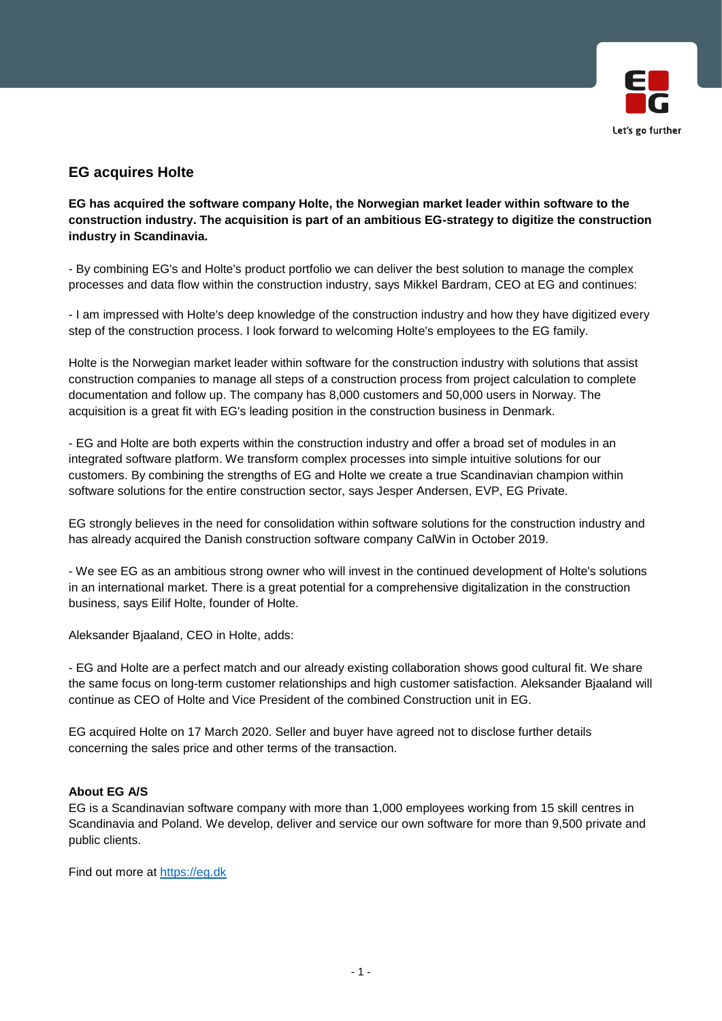

## **EG acquires Holte**

**EG has acquired the software company Holte, the Norwegian market leader within software to the construction industry. The acquisition is part of an ambitious EG-strategy to digitize the construction industry in Scandinavia.**

- By combining EG's and Holte's product portfolio we can deliver the best solution to manage the complex processes and data flow within the construction industry, says Mikkel Bardram, CEO at EG and continues:

- I am impressed with Holte's deep knowledge of the construction industry and how they have digitized every step of the construction process. I look forward to welcoming Holte's employees to the EG family.

Holte is the Norwegian market leader within software for the construction industry with solutions that assist construction companies to manage all steps of a construction process from project calculation to complete documentation and follow up. The company has 8,000 customers and 50,000 users in Norway. The acquisition is a great fit with EG's leading position in the construction business in Denmark.

- EG and Holte are both experts within the construction industry and offer a broad set of modules in an integrated software platform. We transform complex processes into simple intuitive solutions for our customers. By combining the strengths of EG and Holte we create a true Scandinavian champion within software solutions for the entire construction sector, says Jesper Andersen, EVP, EG Private.

EG strongly believes in the need for consolidation within software solutions for the construction industry and has already acquired the Danish construction software company CalWin in October 2019.

- We see EG as an ambitious strong owner who will invest in the continued development of Holte's solutions in an international market. There is a great potential for a comprehensive digitalization in the construction business, says Eilif Holte, founder of Holte.

Aleksander Bjaaland, CEO in Holte, adds:

- EG and Holte are a perfect match and our already existing collaboration shows good cultural fit. We share the same focus on long-term customer relationships and high customer satisfaction. Aleksander Bjaaland will continue as CEO of Holte and Vice President of the combined Construction unit in EG.

EG acquired Holte on 17 March 2020. Seller and buyer have agreed not to disclose further details concerning the sales price and other terms of the transaction.

## **About EG A/S**

EG is a Scandinavian software company with more than 1,000 employees working from 15 skill centres in Scandinavia and Poland. We develop, deliver and service our own software for more than 9,500 private and public clients.

Find out more at [https://eg.dk](https://eg.dk/)